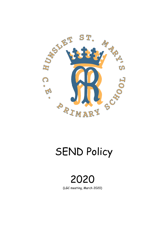

# SEND Policy

2020 (LGC meeting, March 2020)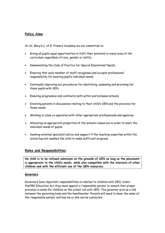# **Policy Aims**

At St. Mary's C. of E. Primary Academy we are committed to:

- Giving all pupils equal opportunities to fulfil their potential in every area of the curriculum regardless of race, gender or ability.
- Implementing the Code of Practice for Special Educational Needs.
- Ensuring that each member of staff recognises and accepts professional responsibility for meeting pupil's individual needs.
- Continually improving our procedures for identifying, assessing and providing for those pupils with SEN.
- Ensuring progression and continuity both within and between schools,
- Involving parents in discussions relating to their child's SEN and the provision for those needs.
- Working in close co-operation with other appropriate professionals and agencies.
- Allocating an appropriate proportion of the school's resources in order to meet the individual needs of pupils.
- Seeking external specialist advice and support if the teaching expertise within the school has not enabled the child to make sufficient progress

# **Roles and Responsibilities**

**No child is to be refused admission on the grounds of SEN as long as the placement is appropriate to the child's needs, while also compatible with the interests of other children and with the efficient use of the SEN resources.**

# **Governors**

Governors have important responsibilities in relation to children with SEN. Under the1981 Education Act they must appoint a 'responsible person' to ensure that proper provision is made for children on the school roll with SEN. This governor acts as a link between the governing body and the headteacher. Parents will need to know the name of the 'responsible person' and how he or she can be contacted.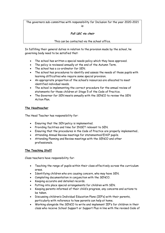The governors sub-committee with responsibility for Inclusion for the year 2020-2021 is:

# *Full LGC via chair*

# This can be contacted via the school office.

In fulfilling their general duties in relation to the provision made by the school, he governing body need to be satisfied that:

- The school has written a special needs policy which they have approved.
- The policy is reviewed annually at the end of the Autumn Term.
- The school has a co-ordinator for SEN.
- The school has procedures to identify and assess the needs of those pupils with learning difficulties who require some special provision.
- An appropriate proportion of the school's resources are allocated to meet identified individual needs.
- The school is implementing the correct procedure for the annual review of statements for those children at Stage 5 of the Code of Practice.
- The Governor for SEN meets annually with the SENCO to review the SEN Action Plan.

# **The Headteacher**

The Head Teacher has responsibility for:

- Ensuring that the SEN policy is implemented.
- Providing facilities and time for INSET relevant to SEN.
- Ensuring that the procedures in the Code of Practice are properly implemented..
- Attending Annual Review meetings for statemented/EHCP pupils.
- Attending Planning and Review meetings with the SENCO and other professionals.

# **The Teaching Staff**

Class teachers have responsibility for:

- Teaching the range of pupils within their class effectively across the curriculum areas.
- Identifying children who are causing concern, who may have SEN.
- Completing documentation in conjunction with the SENCO.
- Keeping accurate and detailed records.
- Putting into place special arrangements for children with SEN.
- Keeping parents informed of their child's progress, any concerns and actions to be taken.
- Discussing children's Individual Education Plans (IEP's) with their parents, particularly with reference to how parents can help at home.
- Working alongside the SENCO to write and implement IEP's for children in their class who receive School Support or Support Plus in line with the revised Code of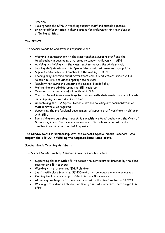Practice.

- Liaising with the SENCO, teaching support staff and outside agencies.
- Showing differentiation in their planning for children within their class of differing abilities.

# **The SENCO**

The Special Needs Co-ordinator is responsible for:

- Working in partnership with the class teachers, support staff and the Headteacher in developing strategies to support children with SEN.
- Advising and liaising with the class teachers across the whole school.
- Leading staff development in Special Needs related issues as appropriate.
- Support and advise class teachers in the writing of IEP's.
- Keeping fully informed about Government and LEA educational initiatives in relation to SEN and attend appropriate courses.
- Regularly reviewing and updating the Special Needs Policy.
- Maintaining and administering the SEN register.
- Overseeing the records of all pupils with SEN.
- Chairing Annual Review Meetings for children with statements for special needs and compiling relevant documentation.
- Undertaking the LEA Special Needs audit and collating any documentation of Matrix material as required.
- Supporting the professional development of support staff working with children with SEN.
- Identifying and agreeing, through liaison with the Headteacher and the Chair of Governors, Annual Performance Management Targets as required by the Teachers Pay and Conditions of Employment.

**The SENCO works in partnership with the School's Special Needs Teachers, who support the SENCO in fulfilling the responsibilities listed above.**

# **Special Needs Teaching Assistants**

The Special Needs Teaching Assistants have responsibility for:

- Supporting children with SEN to access the curriculum as directed by the class teacher or SEN teachers.
- Working with statemented/EHCP children
- Liaising with class teachers, SENCO and other colleagues where appropriate.
- Keeping tracking sheets up to date to inform IEP reviews.
- Attending meetings and training as directed by the Headteacher or SENCO.
- Working with individual children or small groups of children to meet targets on IEP's.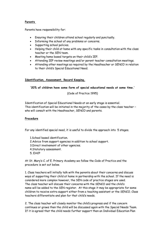# **Parents**

Parents have responsibility for:

- Ensuring their children attend school regularly and punctually.
- Informing the school of any problems or concerns.
- Supporting school policies.
- Helping their child at home with any specific tasks in consultation with the class teacher or the SEN team.
- Meeting home based targets on their child's IEP.
- Attending IEP review meetings and/or parent teacher consultation meetings.
- Attending other meetings as required by the Headteacher or SENCO in relation to their child's Special Educational Need.

# **Identification, Assessment, Record Keeping.**

#### **'20% of children have some form of special educational needs at some time.'**

# (Code of Practice 1995)

Identification of Special Educational Needs at an early stage is essential. This identification will be initiated in the majority of the cases by the class teacher – who will consult with the Headteacher, SENCO and parents.

# **Procedure**

For any identified special need, it is useful to divide the approach into 5 stages.

1.School based identification.

- 2.Advice from support agencies in addition to school support.
- 3.Direct involvement of other agencies.
- 4.Statutory assessment.
- 5. EHCP

At St. Mary's C. of E. Primary Academy we follow the Code of Practice and the procedure is set out below.

1. Class teachers will initially talk with the parents about their concerns and discuss ways of supporting their child at home in partnership with the school. If the need is considered more complex however, the SEN code of practice stages are used. The class teacher will discuss their concerns with the SENCO and the child's name will be added to the SEN register. At this stage it may be appropriate for some children to receive extra support either from a teaching assistant or the SENCO. Class teachers differentiate and plan for that child's needs.

2. The class teacher will closely monitor the child's progress and if the concern continues or grows then the child will be discussed again with the Special Needs Team. If it is agreed that the child needs further support then an Individual Education Plan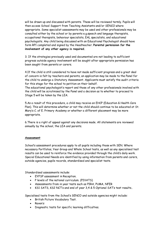will be drawn up and discussed with parents. These will be reviewed termly. Pupils will then access School Support from Teaching Assistants and/or SENCO where appropriate. Some specialist assessments may be used and other professionals may be consulted either by the school or by parents e.g.speech and language therapists, occupational therapists, behaviour specialists, EAL specialists, and educational psychologists. Any child being discussed with an Educational Psychologist should have form RP1 completed and signed by the Headteacher. **Parental permission for the involvement of any other agency is required.**

3. If the strategies previously used and documented are not leading to sufficient progress outside agency involvement will be sought after appropriate permission has been sought from parents or carers.

4.If the child is still considered to have not made sufficient progress and a great deal of concern is felt by teachers and parents, an application may be made to the Panel for the child to undergo a Statutory Assessment. Applicants must satisfy the audit criteria for this stage for the school to petition on their behalf.

The educational psychologist's report and those of any other professionals involved with the child will be scrutinised by the Panel and a decision as to whether to proceed to Stage 5 will be taken by the LEA.

5.As a result of this procedure, a child may receive an EHCP (Education & Health Care Plan). This will determine whether or not the child should continue to be educated at St. Mary's C. of E. Primary Academy or whether a different placement may be more appropriate.

6.There is a right of appeal against any decisions made. All statements are reviewed annually by the school, the LEA and parents.

# **Assessment**

School's assessment procedures apply to all pupils including those with SEN. Where necessary Portfolios, Year Group and Whole School tests, as well as any specialised test results can be used to reinforce the evidence provided through the child's daily work. Special Educational Needs are identified by using information from parents and carers, outside agencies, pupils records, standardised and specialist tests.

Standardised assessments include:

- EYFSP assessment in Reception.
- P levels of the national curriculum. (PIVATS)
- Assessments from in year tests such as PIRA, PUMA, NFER
- KS1 SATS, KS2 NCT's and end of year 3,4 & 5 Optional SAT's test results..

Specialised tests from the School's SENCO and outside agencies might include:

- **•** British Picture Vocabulary Test.
- Raven's
- Diagnostic tests for specific learning difficulties.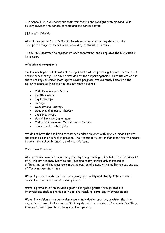The School Nurse will carry out tests for hearing and eyesight problems and liaise closely between the School, parents and the school doctor.

# **LEA Audit Criteria**

All children on the School's Special Needs register must be registered at the appropriate stage of special needs according to the usual Criteria.

The SENCO updates the register at least once termly and completes the LEA Audit in November.

# **Admission arrangements**

Liaison meetings are held with all the agencies that are providing support for the child before school entry. The advice provided by the support agencies is put into action and there are regular liaison meetings to review progress. We currently liaise with the following agencies in relation to new entrants to school.

- Child Development Centre
- Health visitors
- Physiotherapy
- Portage
- Occupational Therapy
- Speech and language Therapy
- Local Playgroups
- **•** Social Services Department
- Child and Adolescent Mental Health Service
- Educational Psychologists

We do not have the facilities necessary to admit children with physical disabilities to the second floor of school at present. The Accessibility Action Plan identifies the means by which the school intends to address this issue.

# **Curriculum Provision**

All curriculum provision should be guided by the governing principles of the St. Mary's C. of E. Primary Academy Learning and Teaching Policy, particularly in regard to differentiation of the classroom tasks, allocation of places within ability groups and use of Teaching Assistant time.

**Wave 1** provision is defined as the regular, high quality and clearly differentiated curriculum that is delivered to every child.

**Wave 2** provision is the provision given to targeted groups through bespoke interventions such as phonic catch ups, pre-teaching, same-day intervention etc.

**Wave 3** provision is the particular, usually individually targeted, provision that the majority of those children on the SEN register will be provided. (Numicon in Key Stage 2, individualised Speech and Language Therapy etc)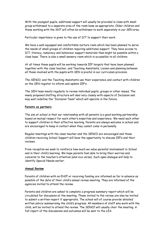With the youngest pupils, additional support will usually be provided in class with small group withdrawal to a separate area of the room base as appropriate. Older children and those working with the SNT will often be withdrawn to work separately in our SEN area.

Particular importance is given to the use of ICT to support their work.

We have a well-equipped and comfortable nurture room which has been planned to serve the needs of small groups of children requiring additional support. They have access to ICT, literacy, numeracy and behaviour support materials than might be possible within a class base. There is also a small sensory room which is accessible to all children.

At all times these pupils will be working towards IEP targets that have been planned together with the class teacher, and Teaching Assistants. Liaison and planning between all those involved with the pupils with SEN is pivotal in our curriculum provision.

The SENCO, and the Teaching Assistants use their experience and contact with children on the SEN register to inform and update IEP's.

The SEN team meets regularly to review individual pupils, groups or other issues. The newly proposed staffing structure will deal very closely with aspects of Inclusion and may well redefine the "Inclusion Team" which will operate in the future.

#### **Parents as partners**

The aim at school is that our relationship with all parents is a good working partnership based on mutual respect for each other's expertise and experience. We need each other to support children in their effective learning. Parents are always welcome in school and are encouraged to keep in contact when they cannot come in personally.

Regular meetings with the class teacher and the SENCO are encouraged and those children receiving School Support will have the opportunity to discuss IEP's and their reviews.

From reception we seek to reinforce how much we value parental involvement in School and in their child's learning. We hope parents feel able to bring their worries and concerns to the teacher's attention (and vice versa). Such open dialogue will help to identify Special Needs earlier.

#### **Annual Review**

Parents of children with an EHCP or receiving funding are informed as far in advance as possible of the date of their child's annual review meeting. They are informed of the agencies invited to attend the review.

Parents and children are asked to complete a progress summary report which will be circulated for discussion at the meeting. Those invited to the review are also be invited to submit a written report if appropriate. The school will of course provide detailed written advice summarising the child's progress. All members of staff who work with the child, will be invited to attend the review. The SENCO will usually chair the meeting. A full report of the discussions and outcomes will be sent to the LEA.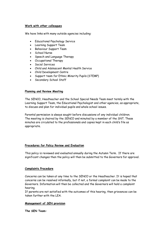#### **Work with other colleagues**

We have links with many outside agencies including:

- Educational Psychology Service
- Learning Support Team
- Behaviour Support Team
- School Nurse
- Speech and Language Therapy
- Occupational Therapy
- Social Services
- Child and Adolescent Mental Health Service
- Child Development Centre
- Support team for Ethnic Minority Pupils (STEMP)
- Secondary School Staff

# **Planning and Review Meeting**

The SENCO, Headteacher and the School Special Needs Team meet termly with the Learning Support Team, the Educational Psychologist and other agencies, as appropriate, to discuss and plan for individual pupils and whole school issues.

Parental permission is always sought before discussions of any individual children. The meeting is chaired by the SENCO and minuted by a member of the SNT. These minutes are circulated to the professionals and copies kept in each child's file as appropriate.

# **Procedures for Policy Review and Evaluation**

This policy is reviewed and evaluated annually during the Autumn Term. If there are significant changes then the policy will then be submitted to the Governors for approval.

# **Complaints Procedure**

Concerns can be taken at any time to the SENCO or the Headteacher. It is hoped that concerns can be resolved informally, but if not, a formal complaint can be made to the Governors. Information will then be collected and the Governors will hold a complaint hearing.

If parents are not satisfied with the outcomes of this hearing, then grievances can be taken further with the LEA.

# **Management of SEN provision**

**The SEN Team:**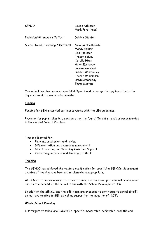| SFNCO:                             | Louise Atkinson<br>Mark Ford- head                                                                                                                                                                           |
|------------------------------------|--------------------------------------------------------------------------------------------------------------------------------------------------------------------------------------------------------------|
| Inclusion/Attendance Officer       | Debbie Stanton                                                                                                                                                                                               |
| Special Needs Teaching Assistants: | Carol Micklethwaite<br>Mandy Parker<br>Lisa Robinson<br><b>Tracey Spivey</b><br>Natalie Hirst<br>Helen Easterby<br>Lauren Wormald<br>Debbie Winstanley<br>Joanne Williamson<br>Dawn Greenaway<br>Emma Meston |

The school has also procured specialist Speech and Language therapy input for half a day each week from a private provider.

#### **Funding**

Funding for SEN is carried out in accordance with the LEA guidelines.

Provision for pupils takes into consideration the four different strands as recommended in the revised Code of Practice.

Time is allocated for:

- Planning, assessment and review
- Differentiation and classroom management
- Direct teaching and Teaching Assistant Support
- Resourcing, materials and training for staff

#### **Training**

The SENCO has achieved the masters qualification for practising SENCOs. Subsequent updates of training have been undertaken where appropriate.

All SEN staff are encouraged to attend training for their own professional development and for the benefit of the school in line with the School Development Plan.

In addition the SENCO and the SEN team are expected to contribute to school INSET on matters relating to SEN as well as supporting the induction of NQT's

# **Whole School Planning**

IEP targets at school are SMART i.e. specific, measurable, achievable, realistic and